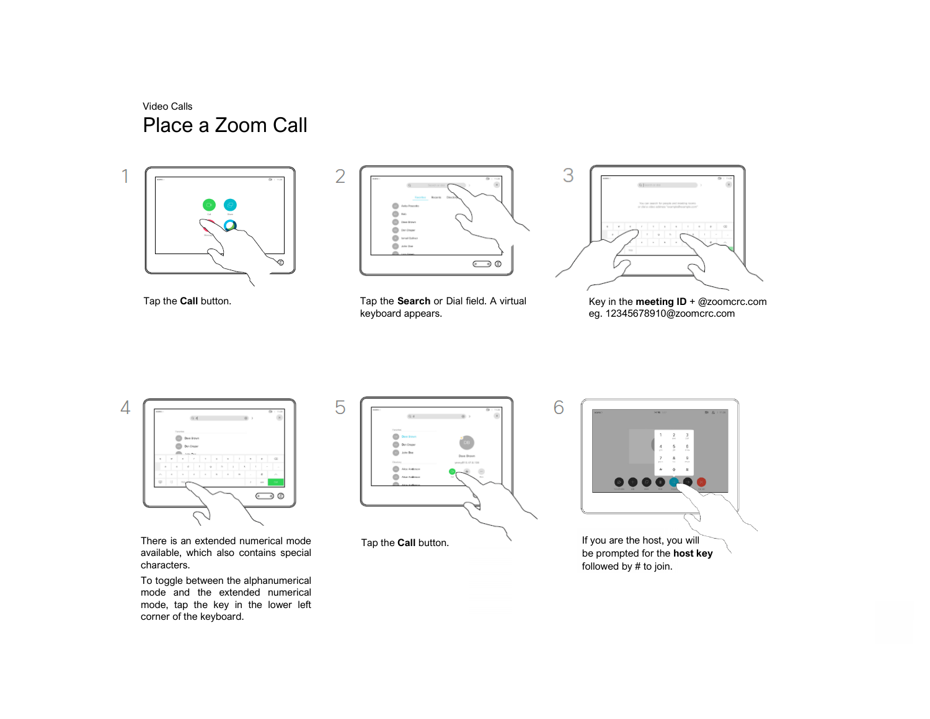Video Calls Place a Zoom Call





Tap the **Call** button. Tap the **Search** or Dial field. A virtual keyboard appears.



Key in the **meeting ID** + @zoomcrc.com eg. 12345678910@zoomcrc.com



There is an extended numerical mode available, which also contains special characters.

To toggle between the alphanumerical mode and the extended numerical mode, tap the key in the lower left corner of the keyboard.



Tap the **Call** button.



6

If you are the host, you will be prompted for the **host key** followed by # to join.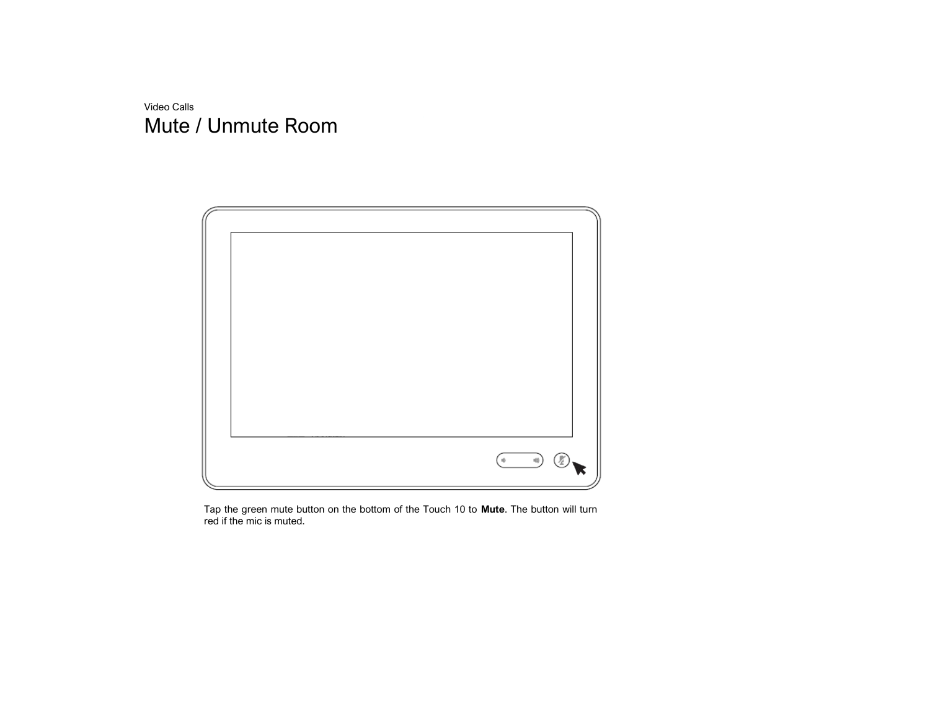Video Calls Mute / Unmute Room



Tap the green mute button on the bottom of the Touch 10 to **Mute**. The button will turn red if the mic is muted.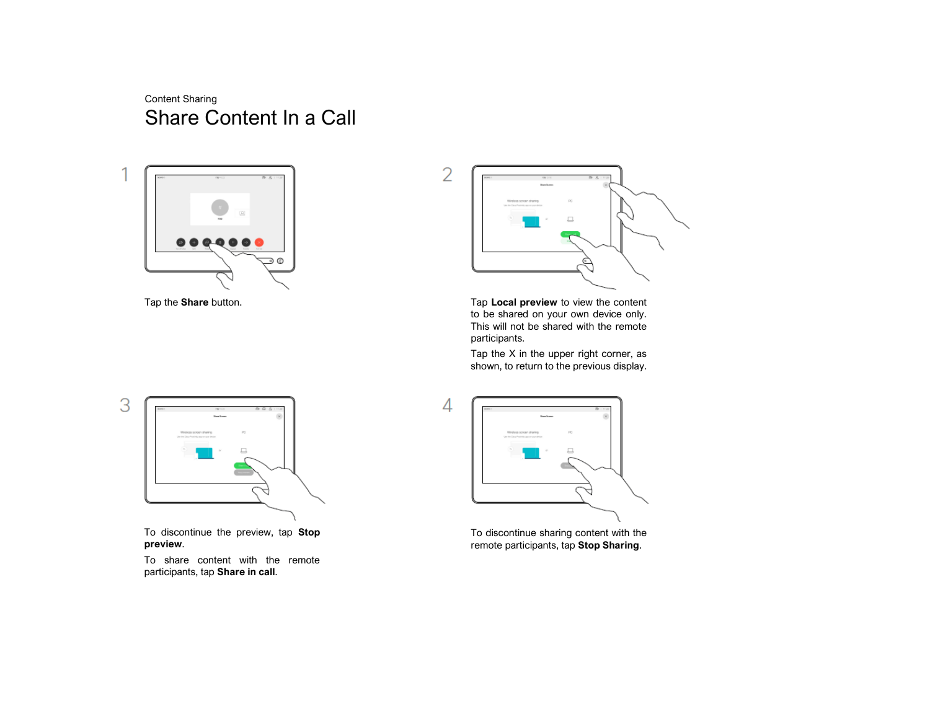## Content Sharing Share Content In a Call





Tap the **Share** button. Tap **Local preview** to view the content to be shared on your own device only. This will not be shared with the remote participants.

> Tap the X in the upper right corner, as shown, to return to the previous display.



To discontinue the preview, tap **Stop preview**.

To share content with the remote participants, tap **Share in call**.



To discontinue sharing content with the remote participants, tap **Stop Sharing**.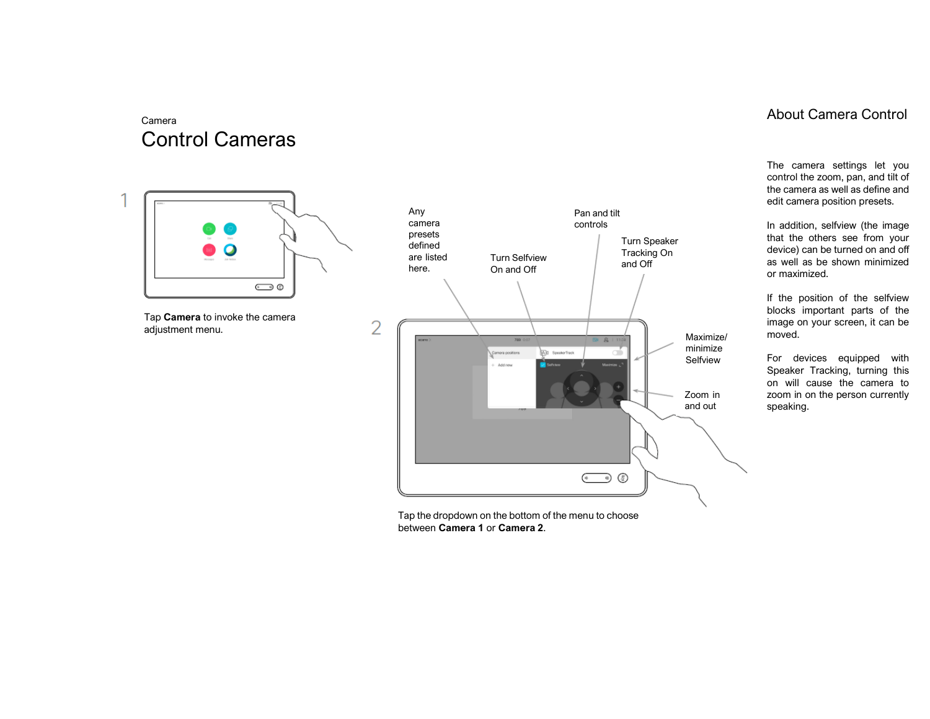# Camera Control Cameras



Tap **Camera** to invoke the camera adjustment menu.



Tap the dropdown on the bottom of the menu to choose between **Camera 1** or **Camera 2**.

### About Camera Control

The camera settings let you control the zoom, pan, and tilt of the camera as well as define and edit camera position presets.

In addition, selfview (the image that the others see from your device) can be turned on and off as well as be shown minimized or maximized.

If the position of the selfview blocks important parts of the image on your screen, it can be moved.

For devices equipped with Speaker Tracking, turning this on will cause the camera to zoom in on the person currently speaking.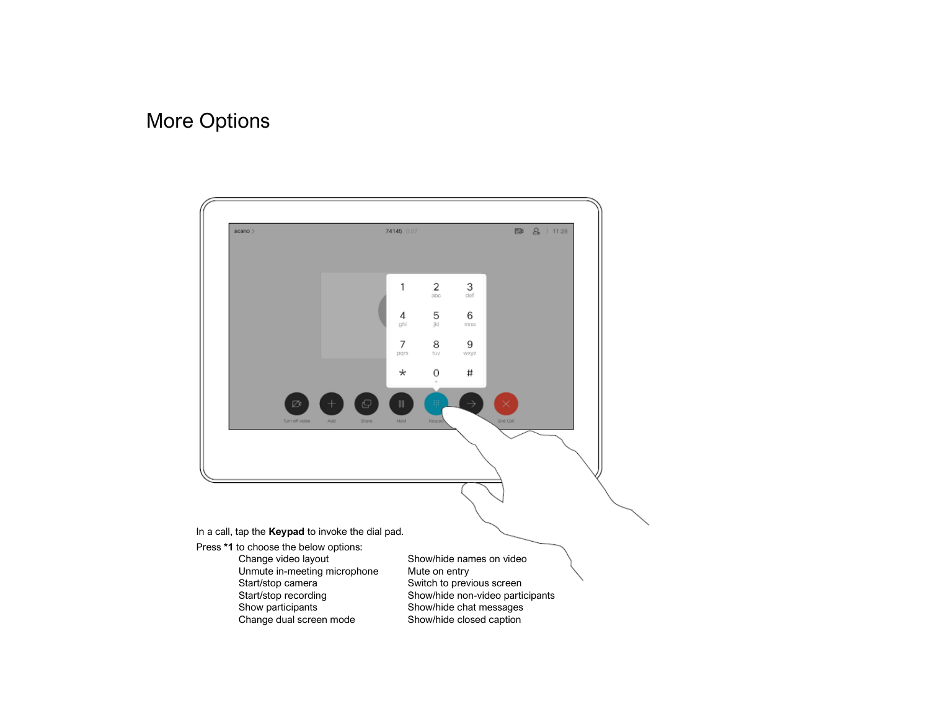# More Options